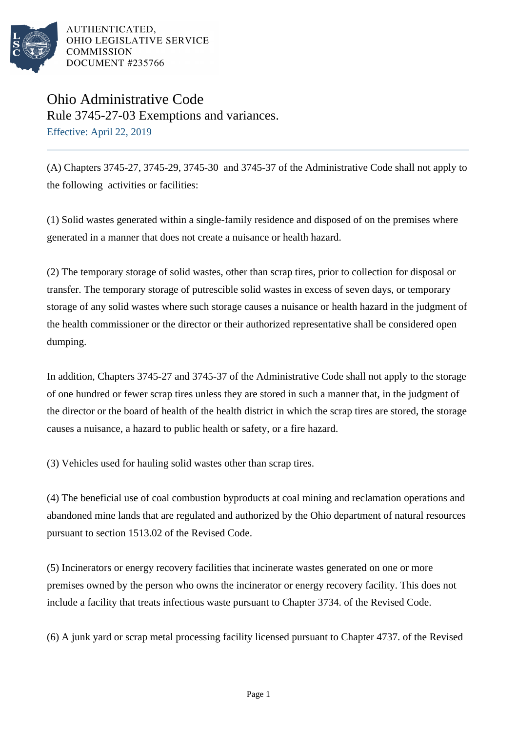

Ohio Administrative Code Rule 3745-27-03 Exemptions and variances. Effective: April 22, 2019

(A) Chapters 3745-27, 3745-29, 3745-30 and 3745-37 of the Administrative Code shall not apply to the following activities or facilities:

(1) Solid wastes generated within a single-family residence and disposed of on the premises where generated in a manner that does not create a nuisance or health hazard.

(2) The temporary storage of solid wastes, other than scrap tires, prior to collection for disposal or transfer. The temporary storage of putrescible solid wastes in excess of seven days, or temporary storage of any solid wastes where such storage causes a nuisance or health hazard in the judgment of the health commissioner or the director or their authorized representative shall be considered open dumping.

In addition, Chapters 3745-27 and 3745-37 of the Administrative Code shall not apply to the storage of one hundred or fewer scrap tires unless they are stored in such a manner that, in the judgment of the director or the board of health of the health district in which the scrap tires are stored, the storage causes a nuisance, a hazard to public health or safety, or a fire hazard.

(3) Vehicles used for hauling solid wastes other than scrap tires.

(4) The beneficial use of coal combustion byproducts at coal mining and reclamation operations and abandoned mine lands that are regulated and authorized by the Ohio department of natural resources pursuant to section 1513.02 of the Revised Code.

(5) Incinerators or energy recovery facilities that incinerate wastes generated on one or more premises owned by the person who owns the incinerator or energy recovery facility. This does not include a facility that treats infectious waste pursuant to Chapter 3734. of the Revised Code.

(6) A junk yard or scrap metal processing facility licensed pursuant to Chapter 4737. of the Revised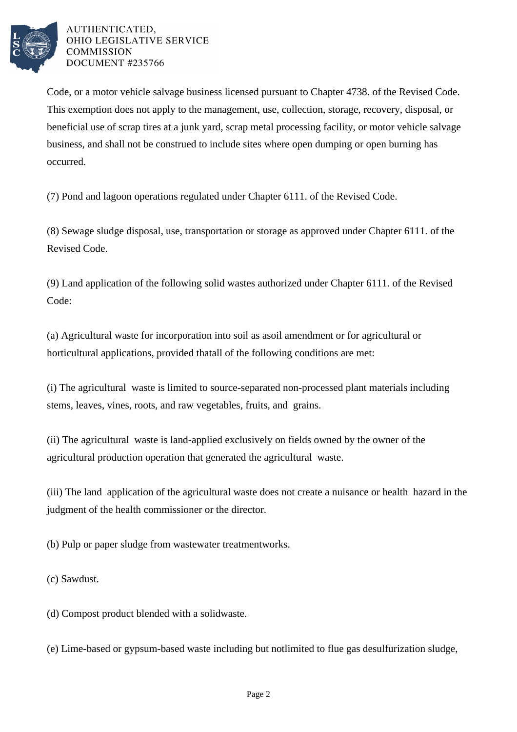

Code, or a motor vehicle salvage business licensed pursuant to Chapter 4738. of the Revised Code. This exemption does not apply to the management, use, collection, storage, recovery, disposal, or beneficial use of scrap tires at a junk yard, scrap metal processing facility, or motor vehicle salvage business, and shall not be construed to include sites where open dumping or open burning has occurred.

(7) Pond and lagoon operations regulated under Chapter 6111. of the Revised Code.

(8) Sewage sludge disposal, use, transportation or storage as approved under Chapter 6111. of the Revised Code.

(9) Land application of the following solid wastes authorized under Chapter 6111. of the Revised Code:

(a) Agricultural waste for incorporation into soil as a soil amendment or for agricultural or horticultural applications, provided that all of the following conditions are met:

(i) The agricultural waste is limited to source-separated non-processed plant materials including stems, leaves, vines, roots, and raw vegetables, fruits, and grains.

(ii) The agricultural waste is land-applied exclusively on fields owned by the owner of the agricultural production operation that generated the agricultural waste.

(iii) The land application of the agricultural waste does not create a nuisance or health hazard in the judgment of the health commissioner or the director.

(b) Pulp or paper sludge from wastewater treatment works.

(c) Sawdust.

(d) Compost product blended with a solid waste.

(e) Lime-based or gypsum-based waste including but not limited to flue gas desulfurization sludge,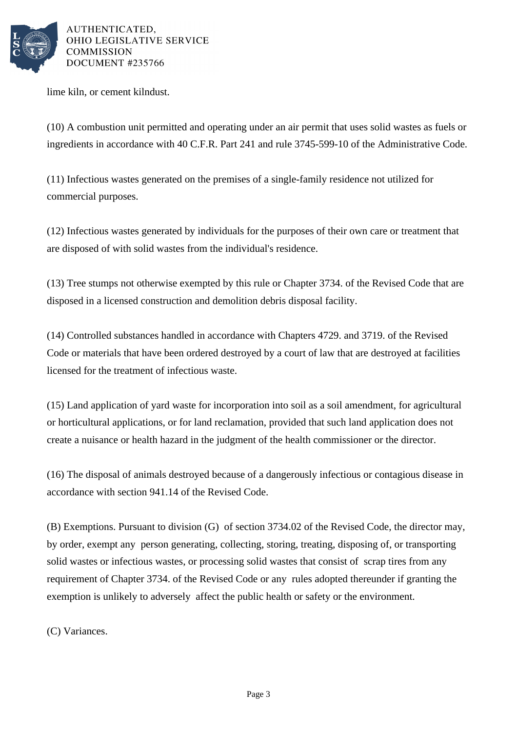

lime kiln, or cement kiln dust.

(10) A combustion unit permitted and operating under an air permit that uses solid wastes as fuels or ingredients in accordance with 40 C.F.R. Part 241 and rule 3745-599-10 of the Administrative Code.

(11) Infectious wastes generated on the premises of a single-family residence not utilized for commercial purposes.

(12) Infectious wastes generated by individuals for the purposes of their own care or treatment that are disposed of with solid wastes from the individual's residence.

(13) Tree stumps not otherwise exempted by this rule or Chapter 3734. of the Revised Code that are disposed in a licensed construction and demolition debris disposal facility.

(14) Controlled substances handled in accordance with Chapters 4729. and 3719. of the Revised Code or materials that have been ordered destroyed by a court of law that are destroyed at facilities licensed for the treatment of infectious waste.

(15) Land application of yard waste for incorporation into soil as a soil amendment, for agricultural or horticultural applications, or for land reclamation, provided that such land application does not create a nuisance or health hazard in the judgment of the health commissioner or the director.

(16) The disposal of animals destroyed because of a dangerously infectious or contagious disease in accordance with section 941.14 of the Revised Code.

(B) Exemptions. Pursuant to division (G) of section 3734.02 of the Revised Code, the director may, by order, exempt any person generating, collecting, storing, treating, disposing of, or transporting solid wastes or infectious wastes, or processing solid wastes that consist of scrap tires from any requirement of Chapter 3734. of the Revised Code or any rules adopted thereunder if granting the exemption is unlikely to adversely affect the public health or safety or the environment.

(C) Variances.